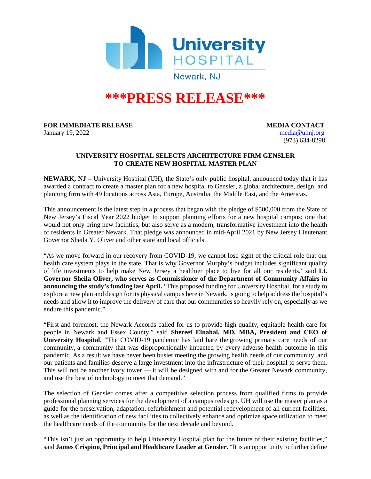

# **\*\*\*PRESS RELEASE\*\*\***

#### **FOR IMMEDIATE RELEASE MEDIA CONTACT**

January 19, 2022 [media@uhnj.org](mailto:media@uhnj.org) (973) 634-8298

## **UNIVERSITY HOSPITAL SELECTS ARCHITECTURE FIRM GENSLER TO CREATE NEW HOSPITAL MASTER PLAN**

**NEWARK, NJ –** University Hospital (UH), the State's only public hospital, announced today that it has awarded a contract to create a master plan for a new hospital to Gensler, a global architecture, design, and planning firm with 49 locations across Asia, Europe, Australia, the Middle East, and the Americas.

This announcement is the latest step in a process that began with the pledge of \$500,000 from the State of New Jersey's Fiscal Year 2022 budget to support planning efforts for a new hospital campus; one that would not only bring new facilities, but also serve as a modern, transformative investment into the health of residents in Greater Newark. That pledge was announced in mid-April 2021 by New Jersey Lieutenant Governor Sheila Y. Oliver and other state and local officials.

"As we move forward in our recovery from COVID-19, we cannot lose sight of the critical role that our health care system plays in the state. That is why Governor Murphy's budget includes significant quality of life investments to help make New Jersey a healthier place to live for all our residents," said **Lt. Governor Sheila Oliver, who serves as Commissioner of the Department of Community Affairs in announcing the study's funding last April.** "This proposed funding for University Hospital, for a study to explore a new plan and design for its physical campus here in Newark, is going to help address the hospital's needs and allow it to improve the delivery of care that our communities so heavily rely on, especially as we endure this pandemic."

"First and foremost, the Newark Accords called for us to provide high quality, equitable health care for people in Newark and Essex County," said **Shereef Elnahal, MD, MBA, President and CEO of University Hospital**. "The COVID-19 pandemic has laid bare the growing primary care needs of our community, a community that was disproportionally impacted by every adverse health outcome in this pandemic. As a result we have never been busier meeting the growing health needs of our community, and our patients and families deserve a large investment into the infrastructure of their hospital to serve them. This will not be another ivory tower — it will be designed with and for the Greater Newark community, and use the best of technology to meet that demand."

The selection of Gensler comes after a competitive selection process from qualified firms to provide professional planning services for the development of a campus redesign. UH will use the master plan as a guide for the preservation, adaptation, refurbishment and potential redevelopment of all current facilities, as well as the identification of new facilities to collectively enhance and optimize space utilization to meet the healthcare needs of the community for the next decade and beyond.

"This isn't just an opportunity to help University Hospital plan for the future of their existing facilities," said **James Crispino, Principal and Healthcare Leader at Gensler.** "It is an opportunity to further define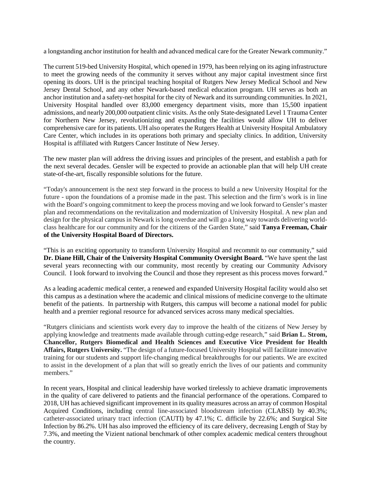a longstanding anchor institution for health and advanced medical care for the Greater Newark community."

The current 519-bed University Hospital, which opened in 1979, has been relying on its aging infrastructure to meet the growing needs of the community it serves without any major capital investment since first opening its doors. UH is the principal teaching hospital of Rutgers New Jersey Medical School and New Jersey Dental School, and any other Newark-based medical education program. UH serves as both an anchor institution and a safety-net hospital for the city of Newark and its surrounding communities. In 2021, University Hospital handled over 83,000 emergency department visits, more than 15,500 inpatient admissions, and nearly 200,000 outpatient clinic visits. As the only State-designated Level 1 Trauma Center for Northern New Jersey, revolutionizing and expanding the facilities would allow UH to deliver comprehensive care for its patients. UH also operates the Rutgers Health at University Hospital Ambulatory Care Center, which includes in its operations both primary and specialty clinics. In addition, University Hospital is affiliated with Rutgers Cancer Institute of New Jersey.

The new master plan will address the driving issues and principles of the present, and establish a path for the next several decades. Gensler will be expected to provide an actionable plan that will help UH create state-of-the-art, fiscally responsible solutions for the future.

"Today's announcement is the next step forward in the process to build a new University Hospital for the future - upon the foundations of a promise made in the past. This selection and the firm's work is in line with the Board's ongoing commitment to keep the process moving and we look forward to Gensler's master plan and recommendations on the revitalization and modernization of University Hospital. A new plan and design for the physical campus in Newark is long overdue and will go a long way towards delivering worldclass healthcare for our community and for the citizens of the Garden State," said **Tanya Freeman, Chair of the University Hospital Board of Directors.**

"This is an exciting opportunity to transform University Hospital and recommit to our community," said **Dr. Diane Hill, Chair of the University Hospital Community Oversight Board.** "We have spent the last several years reconnecting with our community, most recently by creating our Community Advisory Council. I look forward to involving the Council and those they represent as this process moves forward."

As a leading academic medical center, a renewed and expanded University Hospital facility would also set this campus as a destination where the academic and clinical missions of medicine converge to the ultimate benefit of the patients. In partnership with Rutgers, this campus will become a national model for public health and a premier regional resource for advanced services across many medical specialties.

"Rutgers clinicians and scientists work every day to improve the health of the citizens of New Jersey by applying knowledge and treatments made available through cutting-edge research," said **Brian L. Strom, Chancellor, Rutgers Biomedical and Health Sciences and Executive Vice President for Health Affairs, Rutgers University.** "The design of a future-focused University Hospital will facilitate innovative training for our students and support life-changing medical breakthroughs for our patients. We are excited to assist in the development of a plan that will so greatly enrich the lives of our patients and community members."

In recent years, Hospital and clinical leadership have worked tirelessly to achieve dramatic improvements in the quality of care delivered to patients and the financial performance of the operations. Compared to 2018, UH has achieved significant improvement in its quality measures across an array of common Hospital Acquired Conditions, including central line-associated bloodstream infection (CLABSI) by 40.3%; catheter-associated urinary tract infection (CAUTI) by 47.1%; C. difficile by 22.6%; and Surgical Site Infection by 86.2%. UH has also improved the efficiency of its care delivery, decreasing Length of Stay by 7.3%, and meeting the Vizient national benchmark of other complex academic medical centers throughout the country.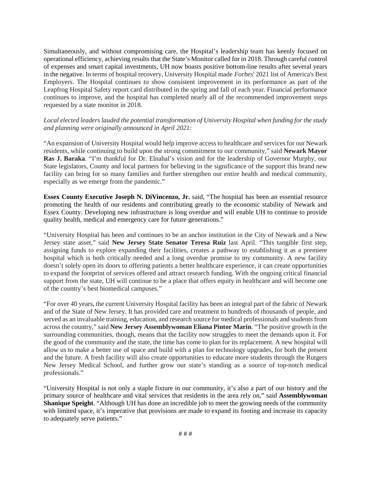Simultaneously, and without compromising care, the Hospital's leadership team has keenly focused on operational efficiency, achieving results that the State's Monitor called for in 2018. Through careful control of expenses and smart capital investments, UH now boasts positive bottom-line results after several years in the negative. In terms of hospital recovery, University Hospital made *Forbes*' 2021 list of America's Best Employers. The Hospital continues to show consistent improvement in its performance as part of the Leapfrog Hospital Safety report card distributed in the spring and fall of each year. Financial performance continues to improve, and the hospital has completed nearly all of the recommended improvement steps requested by a state monitor in 2018.

### *Local elected leaders lauded the potential transformation of University Hospital when funding for the study and planning were originally announced in April 2021:*

"An expansion of University Hospital would help improve access to healthcare and services for our Newark residents, while continuing to build upon the strong commitment to our community," said **Newark Mayor Ras J. Baraka**. "I'm thankful for Dr. Elnahal's vision and for the leadership of Governor Murphy, our State legislators, County and local partners for believing in the significance of the support this brand new facility can bring for so many families and further strengthen our entire health and medical community, especially as we emerge from the pandemic."

**Essex County Executive Joseph N. DiVincenzo, Jr.** said, "The hospital has been an essential resource promoting the health of our residents and contributing greatly to the economic stability of Newark and Essex County. Developing new infrastructure is long overdue and will enable UH to continue to provide quality health, medical and emergency care for future generations."

"University Hospital has been and continues to be an anchor institution in the City of Newark and a New Jersey state asset," said **New Jersey State Senator Teresa Ruiz** last April. "This tangible first step, assigning funds to explore expanding their facilities, creates a pathway to establishing it as a premiere hospital which is both critically needed and a long overdue promise to my community. A new facility doesn't solely open its doors to offering patients a better healthcare experience, it can create opportunities to expand the footprint of services offered and attract research funding. With the ongoing critical financial support from the state, UH will continue to be a place that offers equity in healthcare and will become one of the country's best biomedical campuses."

"For over 40 years, the current University Hospital facility has been an integral part of the fabric of Newark and of the State of New Jersey. It has provided care and treatment to hundreds of thousands of people, and served as an invaluable training, education, and research source for medical professionals and students from across the country," said **New Jersey Assemblywoman Eliana Pintor Marin**. "The positive growth in the surrounding communities, though, means that the facility now struggles to meet the demands upon it. For the good of the community and the state, the time has come to plan for its replacement. A new hospital will allow us to make a better use of space and build with a plan for technology upgrades, for both the present and the future. A fresh facility will also create opportunities to educate more students through the Rutgers New Jersey Medical School, and further grow our state's standing as a source of top-notch medical professionals."

"University Hospital is not only a staple fixture in our community, it's also a part of our history and the primary source of healthcare and vital services that residents in the area rely on," said **Assemblywoman Shanique Speight**. "Although UH has done an incredible job to meet the growing needs of the community with limited space, it's imperative that provisions are made to expand its footing and increase its capacity to adequately serve patients."